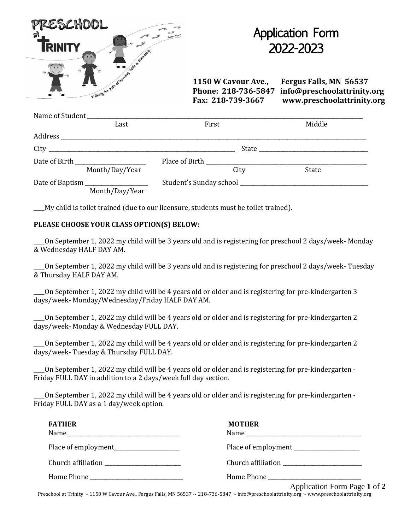| PRESCHOOL<br>Psalm 119:105<br><b>JRINITY</b><br>Walking the pain of versions with of standards. |  |
|-------------------------------------------------------------------------------------------------|--|
| Name of Student                                                                                 |  |

## Application Form 2022-2023

**1150 W Cavour Ave., Fergus Falls, MN 56537 Phone: 218-736-5847 info@preschoolattrinity.org Fax: 218-739-3667 www.preschoolattrinity.org**

|                                  | Last           | First |  | Middle |  |  |  |
|----------------------------------|----------------|-------|--|--------|--|--|--|
|                                  |                |       |  |        |  |  |  |
|                                  |                |       |  |        |  |  |  |
|                                  |                |       |  |        |  |  |  |
|                                  | Month/Day/Year | City  |  | State  |  |  |  |
| Date of Baptism ________________ |                |       |  |        |  |  |  |
|                                  | Month/Day/Year |       |  |        |  |  |  |

\_\_\_\_My child is toilet trained (due to our licensure, students must be toilet trained).

## **PLEASE CHOOSE YOUR CLASS OPTION(S) BELOW:**

\_\_\_\_On September 1, 2022 my child will be 3 years old and is registering for preschool 2 days/week- Monday & Wednesday HALF DAY AM.

\_\_\_\_On September 1, 2022 my child will be 3 years old and is registering for preschool 2 days/week- Tuesday & Thursday HALF DAY AM.

\_\_\_\_On September 1, 2022 my child will be 4 years old or older and is registering for pre-kindergarten 3 days/week- Monday/Wednesday/Friday HALF DAY AM.

\_\_\_\_On September 1, 2022 my child will be 4 years old or older and is registering for pre-kindergarten 2 days/week- Monday & Wednesday FULL DAY.

\_\_\_\_On September 1, 2022 my child will be 4 years old or older and is registering for pre-kindergarten 2 days/week- Tuesday & Thursday FULL DAY.

\_\_\_\_On September 1, 2022 my child will be 4 years old or older and is registering for pre-kindergarten - Friday FULL DAY in addition to a 2 days/week full day section.

\_\_\_\_On September 1, 2022 my child will be 4 years old or older and is registering for pre-kindergarten - Friday FULL DAY as a 1 day/week option.

| <b>FATHER</b> | <b>MOTHER</b>                |
|---------------|------------------------------|
|               |                              |
|               |                              |
|               |                              |
|               | Application Form Page 1 of 2 |

Preschool at Trinity ~ 1150 W Cavour Ave., Fergus Falls, MN 56537 ~ 218-736-5847 ~ info@preschoolattrinity.org ~ www.preschoolattrinity.org